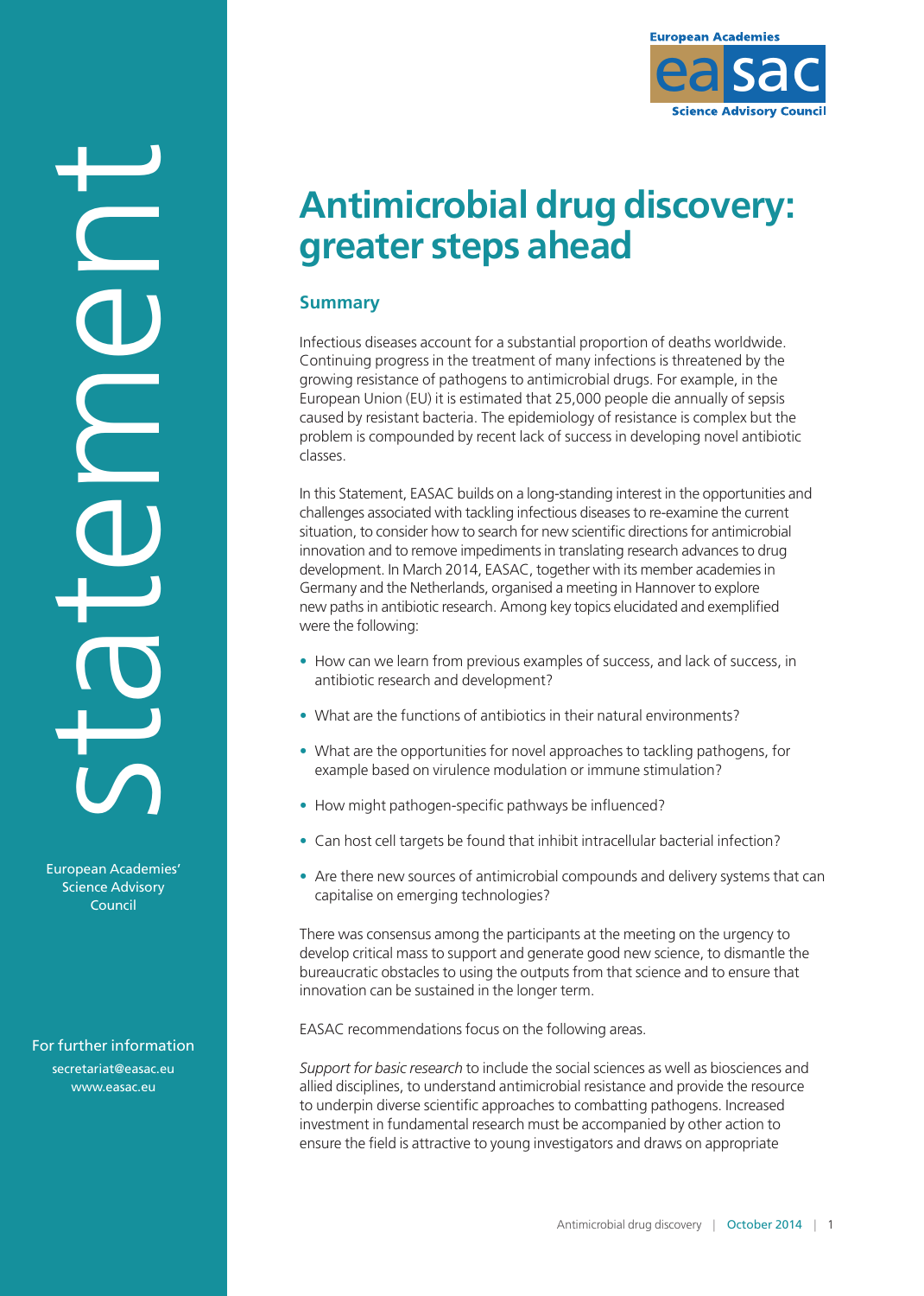

# **Antimicrobial drug discovery: greater steps ahead**

## **Summary**

Infectious diseases account for a substantial proportion of deaths worldwide. Continuing progress in the treatment of many infections is threatened by the growing resistance of pathogens to antimicrobial drugs. For example, in the European Union (EU) it is estimated that 25,000 people die annually of sepsis caused by resistant bacteria. The epidemiology of resistance is complex but the problem is compounded by recent lack of success in developing novel antibiotic classes.

In this Statement, EASAC builds on a long-standing interest in the opportunities and challenges associated with tackling infectious diseases to re-examine the current situation, to consider how to search for new scientific directions for antimicrobial innovation and to remove impediments in translating research advances to drug development. In March 2014, EASAC, together with its member academies in Germany and the Netherlands, organised a meeting in Hannover to explore new paths in antibiotic research. Among key topics elucidated and exemplified were the following:

- How can we learn from previous examples of success, and lack of success, in antibiotic research and development?
- What are the functions of antibiotics in their natural environments?
- What are the opportunities for novel approaches to tackling pathogens, for example based on virulence modulation or immune stimulation?
- How might pathogen-specific pathways be influenced?
- Can host cell targets be found that inhibit intracellular bacterial infection?
- Are there new sources of antimicrobial compounds and delivery systems that can capitalise on emerging technologies?

There was consensus among the participants at the meeting on the urgency to develop critical mass to support and generate good new science, to dismantle the bureaucratic obstacles to using the outputs from that science and to ensure that innovation can be sustained in the longer term.

EASAC recommendations focus on the following areas.

*Support for basic research* to include the social sciences as well as biosciences and allied disciplines, to understand antimicrobial resistance and provide the resource to underpin diverse scientific approaches to combatting pathogens. Increased investment in fundamental research must be accompanied by other action to ensure the field is attractive to young investigators and draws on appropriate

Council

European Academies' Science Advisory

statement

For further information

[secretariat@easac.eu](mailto:secretariat@easac.eu) [www.easac.eu](http://www.easac.eu)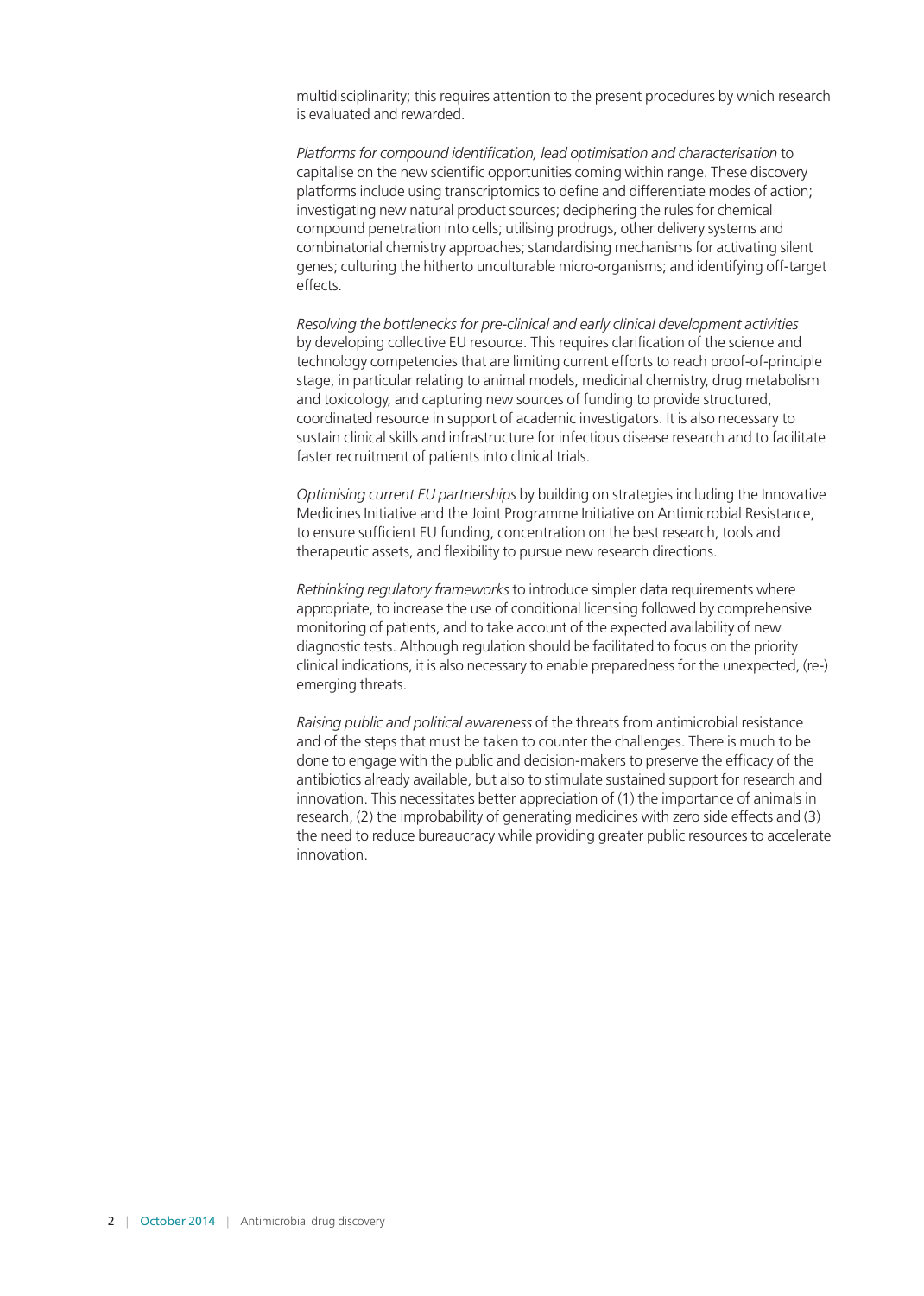multidisciplinarity; this requires attention to the present procedures by which research is evaluated and rewarded.

*Platforms for compound identification, lead optimisation and characterisation* to capitalise on the new scientific opportunities coming within range. These discovery platforms include using transcriptomics to define and differentiate modes of action; investigating new natural product sources; deciphering the rules for chemical compound penetration into cells; utilising prodrugs, other delivery systems and combinatorial chemistry approaches; standardising mechanisms for activating silent genes; culturing the hitherto unculturable micro-organisms; and identifying off-target effects.

*Resolving the bottlenecks for pre-clinical and early clinical development activities*  by developing collective EU resource. This requires clarification of the science and technology competencies that are limiting current efforts to reach proof-of-principle stage, in particular relating to animal models, medicinal chemistry, drug metabolism and toxicology, and capturing new sources of funding to provide structured, coordinated resource in support of academic investigators. It is also necessary to sustain clinical skills and infrastructure for infectious disease research and to facilitate faster recruitment of patients into clinical trials.

*Optimising current EU partnerships* by building on strategies including the Innovative Medicines Initiative and the Joint Programme Initiative on Antimicrobial Resistance, to ensure sufficient EU funding, concentration on the best research, tools and therapeutic assets, and flexibility to pursue new research directions.

*Rethinking regulatory frameworks* to introduce simpler data requirements where appropriate, to increase the use of conditional licensing followed by comprehensive monitoring of patients, and to take account of the expected availability of new diagnostic tests. Although regulation should be facilitated to focus on the priority clinical indications, it is also necessary to enable preparedness for the unexpected, (re-) emerging threats.

*Raising public and political awareness* of the threats from antimicrobial resistance and of the steps that must be taken to counter the challenges. There is much to be done to engage with the public and decision-makers to preserve the efficacy of the antibiotics already available, but also to stimulate sustained support for research and innovation. This necessitates better appreciation of (1) the importance of animals in research, (2) the improbability of generating medicines with zero side effects and (3) the need to reduce bureaucracy while providing greater public resources to accelerate innovation.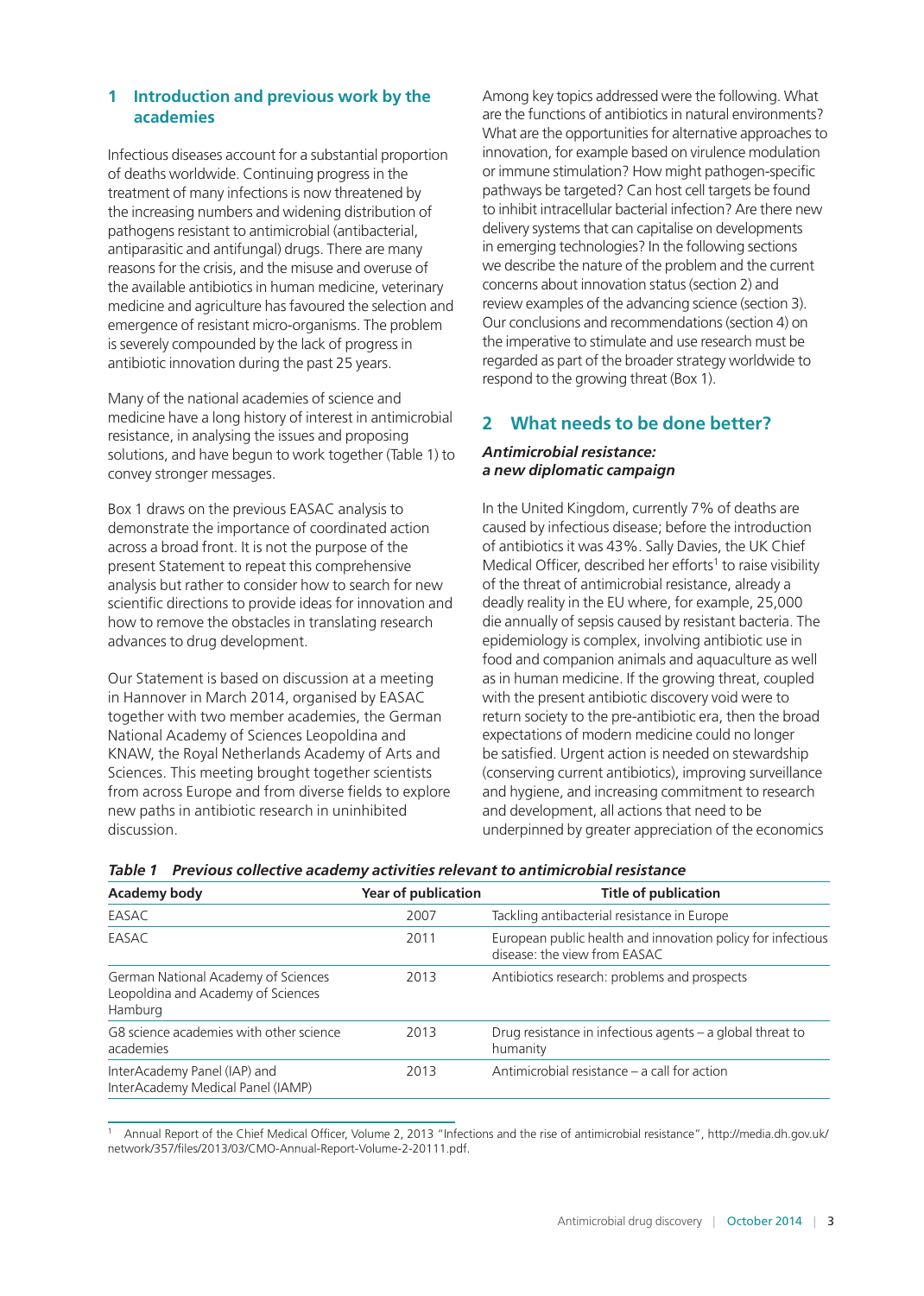## **1 Introduction and previous work by the academies**

Infectious diseases account for a substantial proportion of deaths worldwide. Continuing progress in the treatment of many infections is now threatened by the increasing numbers and widening distribution of pathogens resistant to antimicrobial (antibacterial, antiparasitic and antifungal) drugs. There are many reasons for the crisis, and the misuse and overuse of the available antibiotics in human medicine, veterinary medicine and agriculture has favoured the selection and emergence of resistant micro-organisms. The problem is severely compounded by the lack of progress in antibiotic innovation during the past 25 years.

Many of the national academies of science and medicine have a long history of interest in antimicrobial resistance, in analysing the issues and proposing solutions, and have begun to work together (Table 1) to convey stronger messages.

Box 1 draws on the previous EASAC analysis to demonstrate the importance of coordinated action across a broad front. It is not the purpose of the present Statement to repeat this comprehensive analysis but rather to consider how to search for new scientific directions to provide ideas for innovation and how to remove the obstacles in translating research advances to drug development.

Our Statement is based on discussion at a meeting in Hannover in March 2014, organised by EASAC together with two member academies, the German National Academy of Sciences Leopoldina and KNAW, the Royal Netherlands Academy of Arts and Sciences. This meeting brought together scientists from across Europe and from diverse fields to explore new paths in antibiotic research in uninhibited discussion.

Among key topics addressed were the following. What are the functions of antibiotics in natural environments? What are the opportunities for alternative approaches to innovation, for example based on virulence modulation or immune stimulation? How might pathogen-specific pathways be targeted? Can host cell targets be found to inhibit intracellular bacterial infection? Are there new delivery systems that can capitalise on developments in emerging technologies? In the following sections we describe the nature of the problem and the current concerns about innovation status (section 2) and review examples of the advancing science (section 3). Our conclusions and recommendations (section 4) on the imperative to stimulate and use research must be regarded as part of the broader strategy worldwide to respond to the growing threat (Box 1).

# **2 What needs to be done better?**

#### *Antimicrobial resistance: a new diplomatic campaign*

In the United Kingdom, currently 7% of deaths are caused by infectious disease; before the introduction of antibiotics it was 43%. Sally Davies, the UK Chief Medical Officer, described her efforts<sup>1</sup> to raise visibility of the threat of antimicrobial resistance, already a deadly reality in the EU where, for example, 25,000 die annually of sepsis caused by resistant bacteria. The epidemiology is complex, involving antibiotic use in food and companion animals and aquaculture as well as in human medicine. If the growing threat, coupled with the present antibiotic discovery void were to return society to the pre-antibiotic era, then the broad expectations of modern medicine could no longer be satisfied. Urgent action is needed on stewardship (conserving current antibiotics), improving surveillance and hygiene, and increasing commitment to research and development, all actions that need to be underpinned by greater appreciation of the economics

| Academy body                                                                         | <b>Year of publication</b> | <b>Title of publication</b>                                                                 |
|--------------------------------------------------------------------------------------|----------------------------|---------------------------------------------------------------------------------------------|
| EASAC                                                                                | 2007                       | Tackling antibacterial resistance in Europe                                                 |
| EASAC                                                                                | 2011                       | European public health and innovation policy for infectious<br>disease: the view from EASAC |
| German National Academy of Sciences<br>Leopoldina and Academy of Sciences<br>Hamburg | 2013                       | Antibiotics research: problems and prospects                                                |
| G8 science academies with other science<br>academies                                 | 2013                       | Drug resistance in infectious agents $-$ a global threat to<br>humanity                     |
| InterAcademy Panel (IAP) and<br>InterAcademy Medical Panel (IAMP)                    | 2013                       | Antimicrobial resistance – a call for action                                                |

<sup>1</sup> Annual Report of the Chief Medical Officer, Volume 2, 2013 "Infections and the rise of antimicrobial resistance", [http://media.dh.gov.uk/](http://media.dh.gov.uk/network/357/files/2013/03/CMO-Annual-Report-Volume-2-20111.pdf) [network/357/files/2013/03/CMO-Annual-Report-Volume-2-20111.pdf](http://media.dh.gov.uk/network/357/files/2013/03/CMO-Annual-Report-Volume-2-20111.pdf).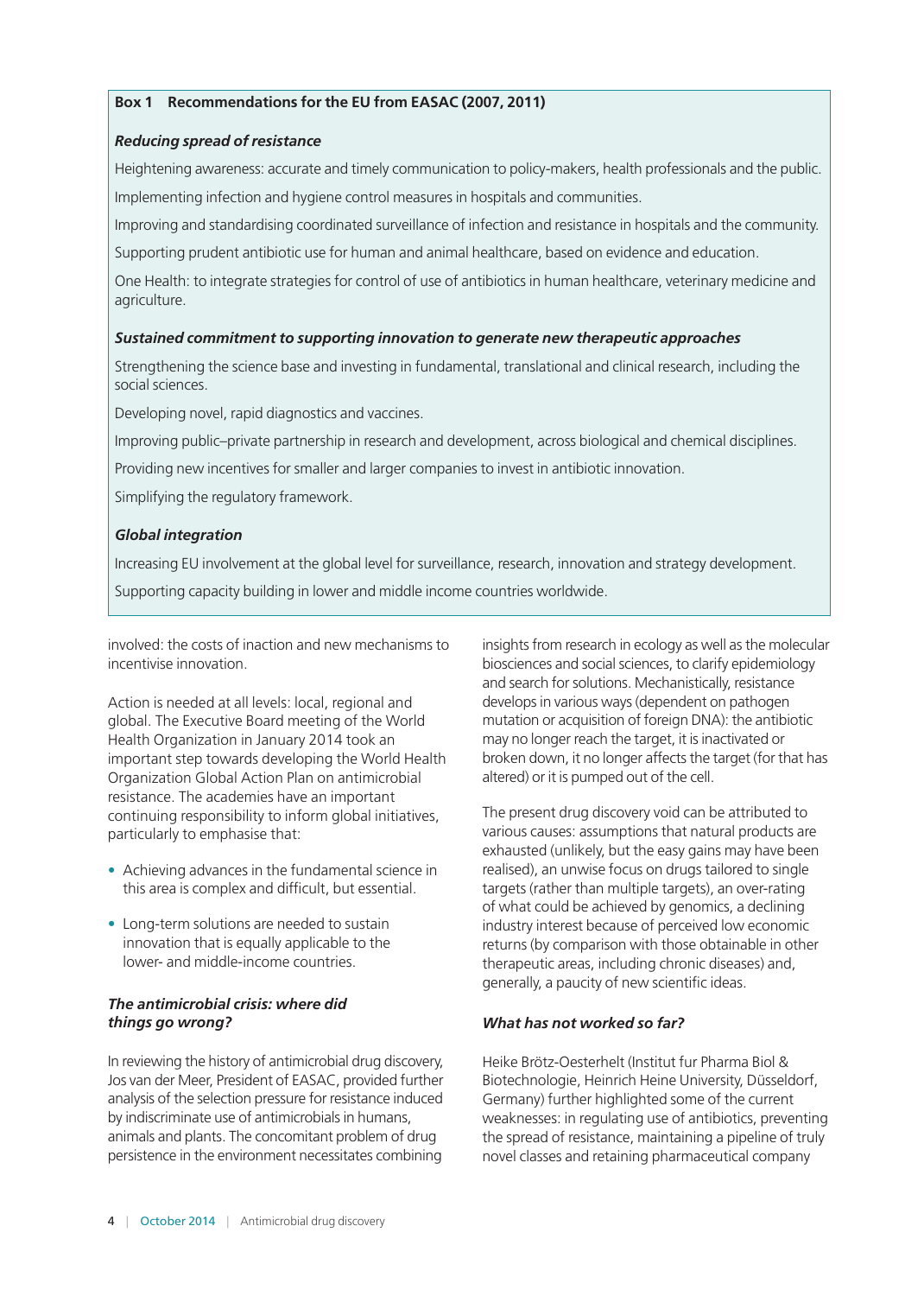#### **Box 1 Recommendations for the EU from EASAC (2007, 2011)**

#### *Reducing spread of resistance*

Heightening awareness: accurate and timely communication to policy-makers, health professionals and the public. Implementing infection and hygiene control measures in hospitals and communities.

Improving and standardising coordinated surveillance of infection and resistance in hospitals and the community.

Supporting prudent antibiotic use for human and animal healthcare, based on evidence and education.

One Health: to integrate strategies for control of use of antibiotics in human healthcare, veterinary medicine and agriculture.

#### *Sustained commitment to supporting innovation to generate new therapeutic approaches*

Strengthening the science base and investing in fundamental, translational and clinical research, including the social sciences.

Developing novel, rapid diagnostics and vaccines.

Improving public–private partnership in research and development, across biological and chemical disciplines.

Providing new incentives for smaller and larger companies to invest in antibiotic innovation.

Simplifying the regulatory framework.

#### *Global integration*

Increasing EU involvement at the global level for surveillance, research, innovation and strategy development. Supporting capacity building in lower and middle income countries worldwide.

involved: the costs of inaction and new mechanisms to incentivise innovation.

Action is needed at all levels: local, regional and global. The Executive Board meeting of the World Health Organization in January 2014 took an important step towards developing the World Health Organization Global Action Plan on antimicrobial resistance. The academies have an important continuing responsibility to inform global initiatives, particularly to emphasise that:

- Achieving advances in the fundamental science in this area is complex and difficult, but essential.
- Long-term solutions are needed to sustain innovation that is equally applicable to the lower- and middle-income countries.

#### *The antimicrobial crisis: where did things go wrong?*

In reviewing the history of antimicrobial drug discovery, Jos van der Meer, President of EASAC, provided further analysis of the selection pressure for resistance induced by indiscriminate use of antimicrobials in humans, animals and plants. The concomitant problem of drug persistence in the environment necessitates combining

insights from research in ecology as well as the molecular biosciences and social sciences, to clarify epidemiology and search for solutions. Mechanistically, resistance develops in various ways (dependent on pathogen mutation or acquisition of foreign DNA): the antibiotic may no longer reach the target, it is inactivated or broken down, it no longer affects the target (for that has altered) or it is pumped out of the cell.

The present drug discovery void can be attributed to various causes: assumptions that natural products are exhausted (unlikely, but the easy gains may have been realised), an unwise focus on drugs tailored to single targets (rather than multiple targets), an over-rating of what could be achieved by genomics, a declining industry interest because of perceived low economic returns (by comparison with those obtainable in other therapeutic areas, including chronic diseases) and, generally, a paucity of new scientific ideas.

#### *What has not worked so far?*

Heike Brötz-Oesterhelt (Institut fur Pharma Biol & Biotechnologie, Heinrich Heine University, Düsseldorf, Germany) further highlighted some of the current weaknesses: in regulating use of antibiotics, preventing the spread of resistance, maintaining a pipeline of truly novel classes and retaining pharmaceutical company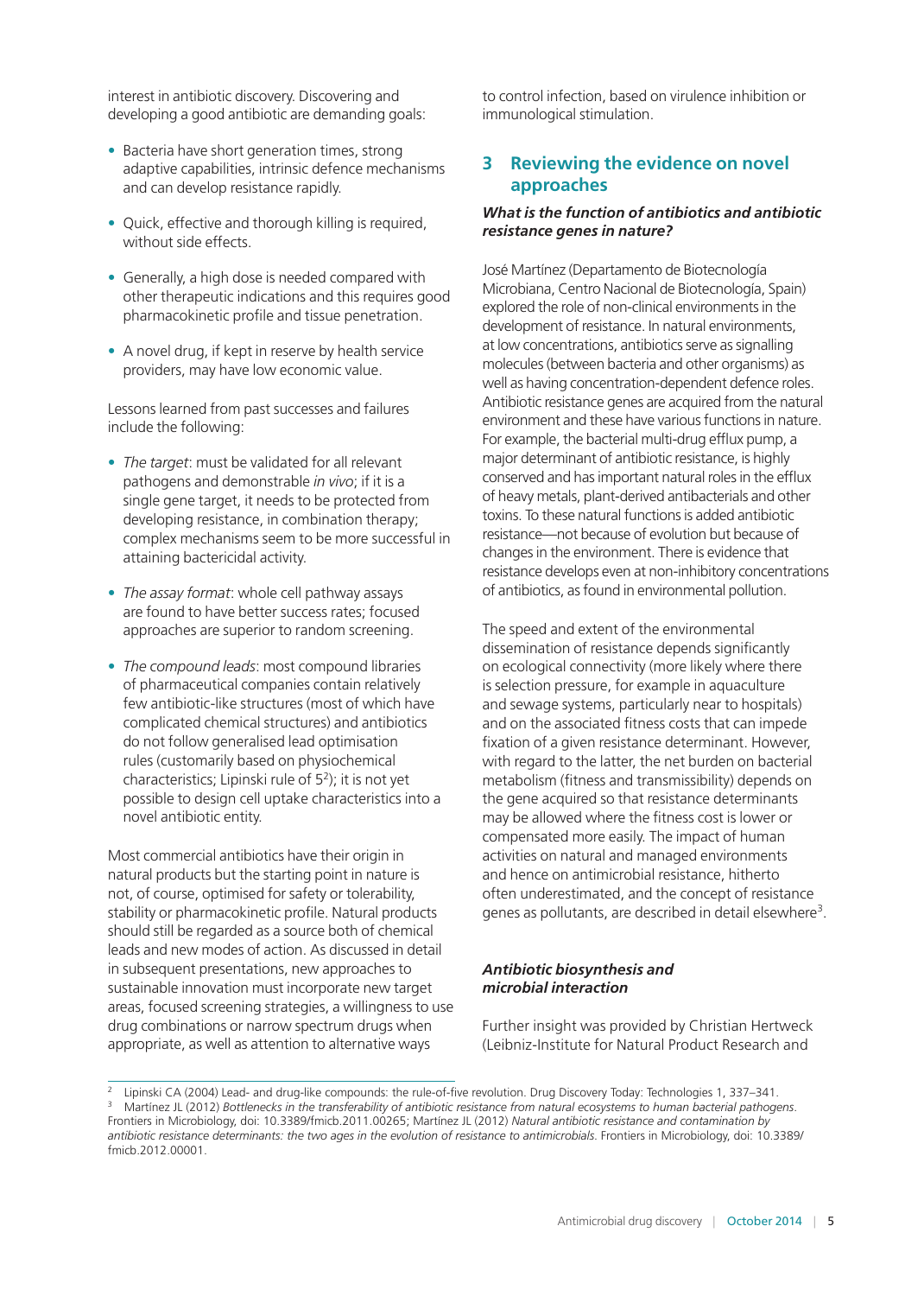interest in antibiotic discovery. Discovering and developing a good antibiotic are demanding goals:

- Bacteria have short generation times, strong adaptive capabilities, intrinsic defence mechanisms and can develop resistance rapidly.
- Quick, effective and thorough killing is required, without side effects.
- Generally, a high dose is needed compared with other therapeutic indications and this requires good pharmacokinetic profile and tissue penetration.
- A novel drug, if kept in reserve by health service providers, may have low economic value.

Lessons learned from past successes and failures include the following:

- *The target*: must be validated for all relevant pathogens and demonstrable *in vivo*; if it is a single gene target, it needs to be protected from developing resistance, in combination therapy; complex mechanisms seem to be more successful in attaining bactericidal activity.
- *The assay format*: whole cell pathway assays are found to have better success rates; focused approaches are superior to random screening.
- *The compound leads*: most compound libraries of pharmaceutical companies contain relatively few antibiotic-like structures (most of which have complicated chemical structures) and antibiotics do not follow generalised lead optimisation rules (customarily based on physiochemical characteristics; Lipinski rule of 52); it is not yet possible to design cell uptake characteristics into a novel antibiotic entity.

Most commercial antibiotics have their origin in natural products but the starting point in nature is not, of course, optimised for safety or tolerability, stability or pharmacokinetic profile. Natural products should still be regarded as a source both of chemical leads and new modes of action. As discussed in detail in subsequent presentations, new approaches to sustainable innovation must incorporate new target areas, focused screening strategies, a willingness to use drug combinations or narrow spectrum drugs when appropriate, as well as attention to alternative ways

to control infection, based on virulence inhibition or immunological stimulation.

## **3 Reviewing the evidence on novel approaches**

#### *What is the function of antibiotics and antibiotic resistance genes in nature?*

José Martínez (Departamento de Biotecnología Microbiana, Centro Nacional de Biotecnología, Spain) explored the role of non-clinical environments in the development of resistance. In natural environments, at low concentrations, antibiotics serve as signalling molecules (between bacteria and other organisms) as well as having concentration-dependent defence roles. Antibiotic resistance genes are acquired from the natural environment and these have various functions in nature. For example, the bacterial multi-drug efflux pump, a major determinant of antibiotic resistance, is highly conserved and has important natural roles in the efflux of heavy metals, plant-derived antibacterials and other toxins. To these natural functions is added antibiotic resistance—not because of evolution but because of changes in the environment. There is evidence that resistance develops even at non-inhibitory concentrations of antibiotics, as found in environmental pollution.

The speed and extent of the environmental dissemination of resistance depends significantly on ecological connectivity (more likely where there is selection pressure, for example in aquaculture and sewage systems, particularly near to hospitals) and on the associated fitness costs that can impede fixation of a given resistance determinant. However, with regard to the latter, the net burden on bacterial metabolism (fitness and transmissibility) depends on the gene acquired so that resistance determinants may be allowed where the fitness cost is lower or compensated more easily. The impact of human activities on natural and managed environments and hence on antimicrobial resistance, hitherto often underestimated, and the concept of resistance genes as pollutants, are described in detail elsewhere3.

#### *Antibiotic biosynthesis and microbial interaction*

Further insight was provided by Christian Hertweck (Leibniz-Institute for Natural Product Research and

<sup>2</sup> Lipinski CA (2004) Lead- and drug-like compounds: the rule-of-five revolution. Drug Discovery Today: Technologies 1, 337–341. <sup>3</sup> Martínez JL (2012) *Bottlenecks in the transferability of antibiotic resistance from natural ecosystems to human bacterial pathogens*.

Frontiers in Microbiology, doi: 10.3389/fmicb.2011.00265; Martínez JL (2012) *Natural antibiotic resistance and contamination by antibiotic resistance determinants: the two ages in the evolution of resistance to antimicrobials*. Frontiers in Microbiology, doi: 10.3389/ fmicb.2012.00001.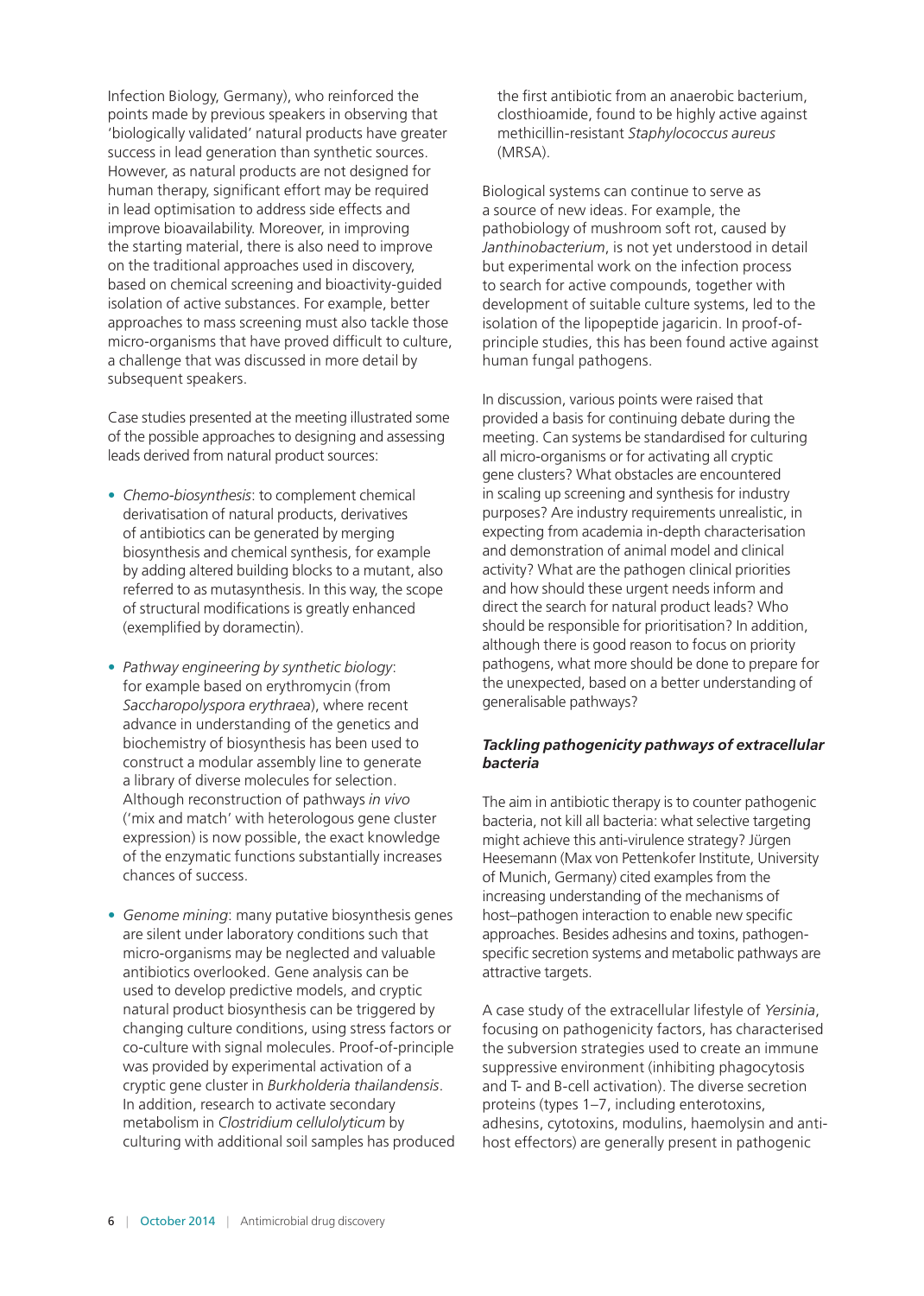Infection Biology, Germany), who reinforced the points made by previous speakers in observing that 'biologically validated' natural products have greater success in lead generation than synthetic sources. However, as natural products are not designed for human therapy, significant effort may be required in lead optimisation to address side effects and improve bioavailability. Moreover, in improving the starting material, there is also need to improve on the traditional approaches used in discovery, based on chemical screening and bioactivity-guided isolation of active substances. For example, better approaches to mass screening must also tackle those micro-organisms that have proved difficult to culture, a challenge that was discussed in more detail by subsequent speakers.

Case studies presented at the meeting illustrated some of the possible approaches to designing and assessing leads derived from natural product sources:

- *Chemo-biosynthesis*: to complement chemical derivatisation of natural products, derivatives of antibiotics can be generated by merging biosynthesis and chemical synthesis, for example by adding altered building blocks to a mutant, also referred to as mutasynthesis. In this way, the scope of structural modifications is greatly enhanced (exemplified by doramectin).
- *Pathway engineering by synthetic biology*: for example based on erythromycin (from *Saccharopolyspora erythraea*), where recent advance in understanding of the genetics and biochemistry of biosynthesis has been used to construct a modular assembly line to generate a library of diverse molecules for selection. Although reconstruction of pathways *in vivo*  ('mix and match' with heterologous gene cluster expression) is now possible, the exact knowledge of the enzymatic functions substantially increases chances of success.
- *Genome mining*: many putative biosynthesis genes are silent under laboratory conditions such that micro-organisms may be neglected and valuable antibiotics overlooked. Gene analysis can be used to develop predictive models, and cryptic natural product biosynthesis can be triggered by changing culture conditions, using stress factors or co-culture with signal molecules. Proof-of-principle was provided by experimental activation of a cryptic gene cluster in *Burkholderia thailandensis*. In addition, research to activate secondary metabolism in *Clostridium cellulolyticum* by culturing with additional soil samples has produced

the first antibiotic from an anaerobic bacterium, closthioamide, found to be highly active against methicillin-resistant *Staphylococcus aureus* (MRSA).

Biological systems can continue to serve as a source of new ideas. For example, the pathobiology of mushroom soft rot, caused by *Janthinobacterium*, is not yet understood in detail but experimental work on the infection process to search for active compounds, together with development of suitable culture systems, led to the isolation of the lipopeptide jagaricin. In proof-ofprinciple studies, this has been found active against human fungal pathogens.

In discussion, various points were raised that provided a basis for continuing debate during the meeting. Can systems be standardised for culturing all micro-organisms or for activating all cryptic gene clusters? What obstacles are encountered in scaling up screening and synthesis for industry purposes? Are industry requirements unrealistic, in expecting from academia in-depth characterisation and demonstration of animal model and clinical activity? What are the pathogen clinical priorities and how should these urgent needs inform and direct the search for natural product leads? Who should be responsible for prioritisation? In addition, although there is good reason to focus on priority pathogens, what more should be done to prepare for the unexpected, based on a better understanding of generalisable pathways?

#### *Tackling pathogenicity pathways of extracellular bacteria*

The aim in antibiotic therapy is to counter pathogenic bacteria, not kill all bacteria: what selective targeting might achieve this anti-virulence strategy? Jürgen Heesemann (Max von Pettenkofer Institute, University of Munich, Germany) cited examples from the increasing understanding of the mechanisms of host–pathogen interaction to enable new specific approaches. Besides adhesins and toxins, pathogenspecific secretion systems and metabolic pathways are attractive targets.

A case study of the extracellular lifestyle of *Yersinia*, focusing on pathogenicity factors, has characterised the subversion strategies used to create an immune suppressive environment (inhibiting phagocytosis and T- and B-cell activation). The diverse secretion proteins (types 1–7, including enterotoxins, adhesins, cytotoxins, modulins, haemolysin and antihost effectors) are generally present in pathogenic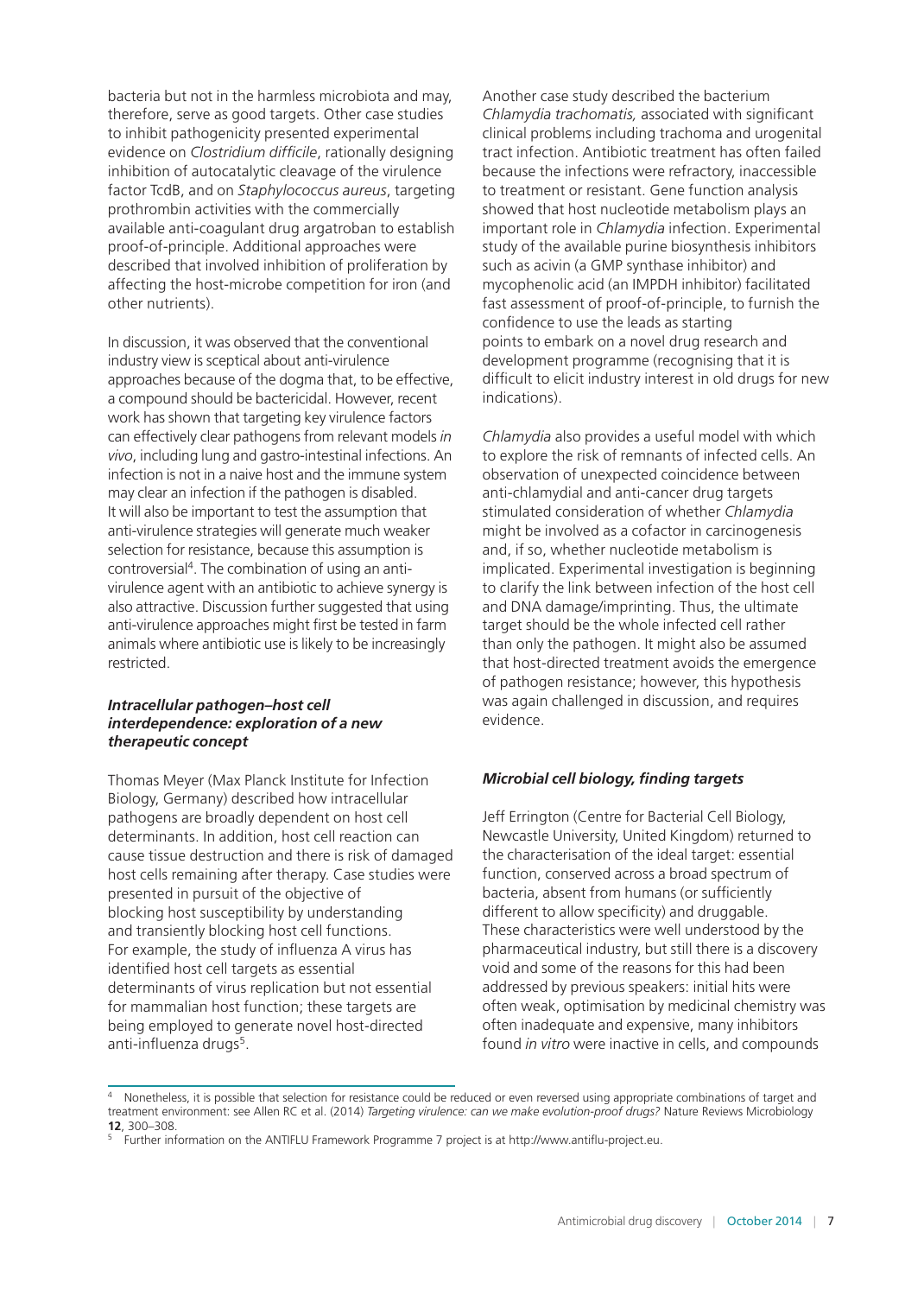bacteria but not in the harmless microbiota and may, therefore, serve as good targets. Other case studies to inhibit pathogenicity presented experimental evidence on *Clostridium difficile*, rationally designing inhibition of autocatalytic cleavage of the virulence factor TcdB, and on *Staphylococcus aureus*, targeting prothrombin activities with the commercially available anti-coagulant drug argatroban to establish proof-of-principle. Additional approaches were described that involved inhibition of proliferation by affecting the host-microbe competition for iron (and other nutrients).

In discussion, it was observed that the conventional industry view is sceptical about anti-virulence approaches because of the dogma that, to be effective, a compound should be bactericidal. However, recent work has shown that targeting key virulence factors can effectively clear pathogens from relevant models *in vivo*, including lung and gastro-intestinal infections. An infection is not in a naive host and the immune system may clear an infection if the pathogen is disabled. It will also be important to test the assumption that anti-virulence strategies will generate much weaker selection for resistance, because this assumption is controversial4. The combination of using an antivirulence agent with an antibiotic to achieve synergy is also attractive. Discussion further suggested that using anti-virulence approaches might first be tested in farm animals where antibiotic use is likely to be increasingly restricted.

#### *Intracellular pathogen–host cell interdependence: exploration of a new therapeutic concept*

Thomas Meyer (Max Planck Institute for Infection Biology, Germany) described how intracellular pathogens are broadly dependent on host cell determinants. In addition, host cell reaction can cause tissue destruction and there is risk of damaged host cells remaining after therapy. Case studies were presented in pursuit of the objective of blocking host susceptibility by understanding and transiently blocking host cell functions. For example, the study of influenza A virus has identified host cell targets as essential determinants of virus replication but not essential for mammalian host function; these targets are being employed to generate novel host-directed anti-influenza drugs<sup>5</sup>.

Another case study described the bacterium *Chlamydia trachomatis,* associated with significant clinical problems including trachoma and urogenital tract infection. Antibiotic treatment has often failed because the infections were refractory, inaccessible to treatment or resistant. Gene function analysis showed that host nucleotide metabolism plays an important role in *Chlamydia* infection. Experimental study of the available purine biosynthesis inhibitors such as acivin (a GMP synthase inhibitor) and mycophenolic acid (an IMPDH inhibitor) facilitated fast assessment of proof-of-principle, to furnish the confidence to use the leads as starting points to embark on a novel drug research and development programme (recognising that it is difficult to elicit industry interest in old drugs for new indications).

*Chlamydia* also provides a useful model with which to explore the risk of remnants of infected cells. An observation of unexpected coincidence between anti-chlamydial and anti-cancer drug targets stimulated consideration of whether *Chlamydia* might be involved as a cofactor in carcinogenesis and, if so, whether nucleotide metabolism is implicated. Experimental investigation is beginning to clarify the link between infection of the host cell and DNA damage/imprinting. Thus, the ultimate target should be the whole infected cell rather than only the pathogen. It might also be assumed that host-directed treatment avoids the emergence of pathogen resistance; however, this hypothesis was again challenged in discussion, and requires evidence.

## *Microbial cell biology, finding targets*

Jeff Errington (Centre for Bacterial Cell Biology, Newcastle University, United Kingdom) returned to the characterisation of the ideal target: essential function, conserved across a broad spectrum of bacteria, absent from humans (or sufficiently different to allow specificity) and druggable. These characteristics were well understood by the pharmaceutical industry, but still there is a discovery void and some of the reasons for this had been addressed by previous speakers: initial hits were often weak, optimisation by medicinal chemistry was often inadequate and expensive, many inhibitors found *in vitro* were inactive in cells, and compounds

<sup>&</sup>lt;sup>4</sup> Nonetheless, it is possible that selection for resistance could be reduced or even reversed using appropriate combinations of target and treatment environment: see Allen RC et al. (2014) *Targeting virulence: can we make evolution-proof drugs?* Nature Reviews Microbiology **12**, 300–308.

<sup>5</sup> Further information on the ANTIFLU Framework Programme 7 project is at [http://www.antiflu-project.eu.](http://www.antiflu-project.eu)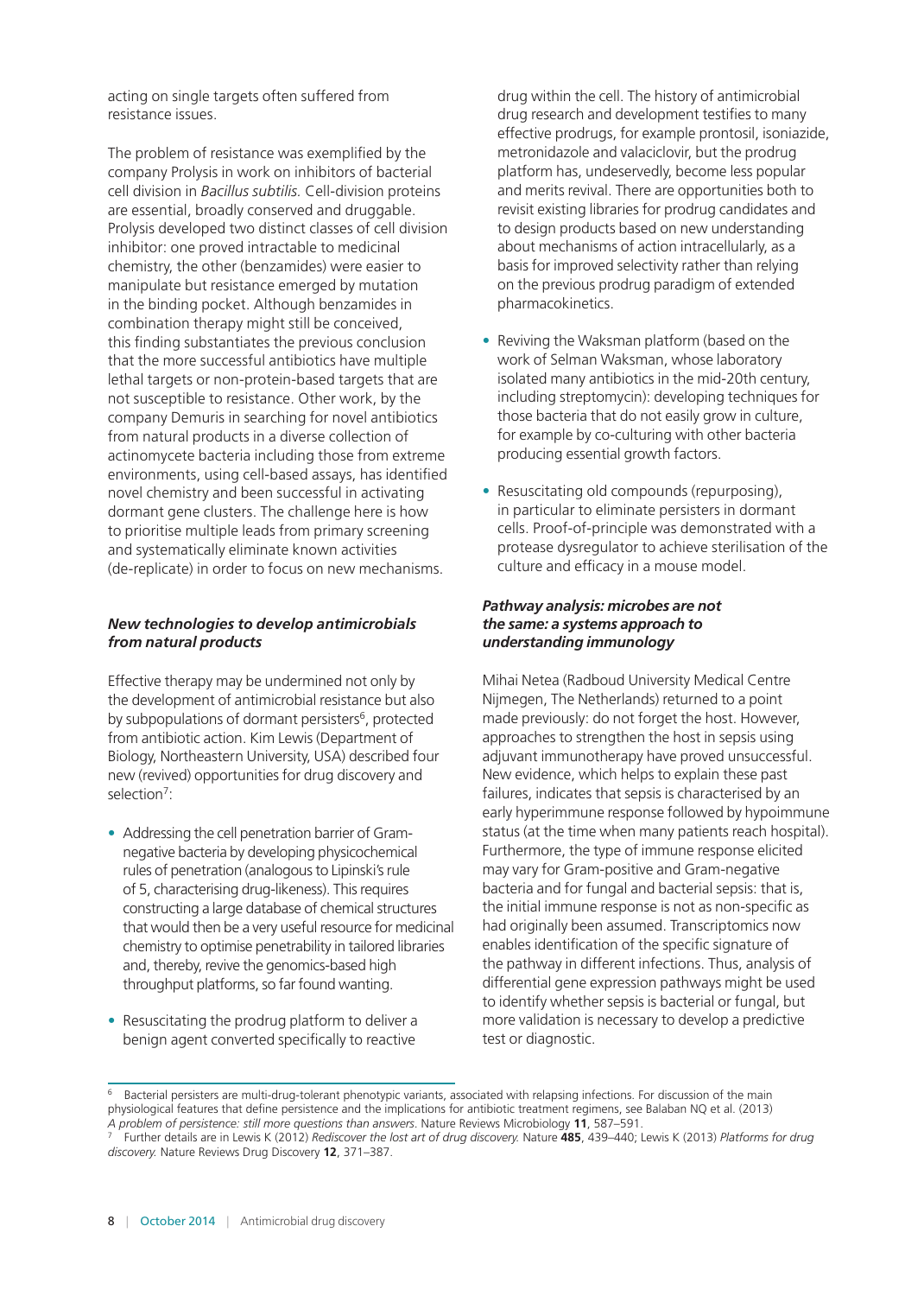acting on single targets often suffered from resistance issues.

The problem of resistance was exemplified by the company Prolysis in work on inhibitors of bacterial cell division in *Bacillus subtilis.* Cell-division proteins are essential, broadly conserved and druggable. Prolysis developed two distinct classes of cell division inhibitor: one proved intractable to medicinal chemistry, the other (benzamides) were easier to manipulate but resistance emerged by mutation in the binding pocket. Although benzamides in combination therapy might still be conceived, this finding substantiates the previous conclusion that the more successful antibiotics have multiple lethal targets or non-protein-based targets that are not susceptible to resistance. Other work, by the company Demuris in searching for novel antibiotics from natural products in a diverse collection of actinomycete bacteria including those from extreme environments, using cell-based assays, has identified novel chemistry and been successful in activating dormant gene clusters. The challenge here is how to prioritise multiple leads from primary screening and systematically eliminate known activities (de-replicate) in order to focus on new mechanisms.

#### *New technologies to develop antimicrobials from natural products*

Effective therapy may be undermined not only by the development of antimicrobial resistance but also by subpopulations of dormant persisters<sup>6</sup>, protected from antibiotic action. Kim Lewis (Department of Biology, Northeastern University, USA) described four new (revived) opportunities for drug discovery and selection<sup>7</sup>:

- Addressing the cell penetration barrier of Gramnegative bacteria by developing physicochemical rules of penetration (analogous to Lipinski's rule of 5, characterising drug-likeness). This requires constructing a large database of chemical structures that would then be a very useful resource for medicinal chemistry to optimise penetrability in tailored libraries and, thereby, revive the genomics-based high throughput platforms, so far found wanting.
- Resuscitating the prodrug platform to deliver a benign agent converted specifically to reactive

drug within the cell. The history of antimicrobial drug research and development testifies to many effective prodrugs, for example prontosil, isoniazide, metronidazole and valaciclovir, but the prodrug platform has, undeservedly, become less popular and merits revival. There are opportunities both to revisit existing libraries for prodrug candidates and to design products based on new understanding about mechanisms of action intracellularly, as a basis for improved selectivity rather than relying on the previous prodrug paradigm of extended pharmacokinetics.

- Reviving the Waksman platform (based on the work of Selman Waksman, whose laboratory isolated many antibiotics in the mid-20th century, including streptomycin): developing techniques for those bacteria that do not easily grow in culture, for example by co-culturing with other bacteria producing essential growth factors.
- Resuscitating old compounds (repurposing), in particular to eliminate persisters in dormant cells. Proof-of-principle was demonstrated with a protease dysregulator to achieve sterilisation of the culture and efficacy in a mouse model.

#### *Pathway analysis: microbes are not the same: a systems approach to understanding immunology*

Mihai Netea (Radboud University Medical Centre Nijmegen, The Netherlands) returned to a point made previously: do not forget the host. However, approaches to strengthen the host in sepsis using adjuvant immunotherapy have proved unsuccessful. New evidence, which helps to explain these past failures, indicates that sepsis is characterised by an early hyperimmune response followed by hypoimmune status (at the time when many patients reach hospital). Furthermore, the type of immune response elicited may vary for Gram-positive and Gram-negative bacteria and for fungal and bacterial sepsis: that is, the initial immune response is not as non-specific as had originally been assumed. Transcriptomics now enables identification of the specific signature of the pathway in different infections. Thus, analysis of differential gene expression pathways might be used to identify whether sepsis is bacterial or fungal, but more validation is necessary to develop a predictive test or diagnostic.

<sup>6</sup> Bacterial persisters are multi-drug-tolerant phenotypic variants, associated with relapsing infections. For discussion of the main physiological features that define persistence and the implications for antibiotic treatment regimens, see Balaban NQ et al. (2013) *A problem of persistence: still more questions than answers*. Nature Reviews Microbiology **11**, 587–591.

<sup>7</sup> Further details are in Lewis K (2012) *Rediscover the lost art of drug discovery.* Nature **485**, 439–440; Lewis K (2013) *Platforms for drug discovery.* Nature Reviews Drug Discovery **12**, 371–387.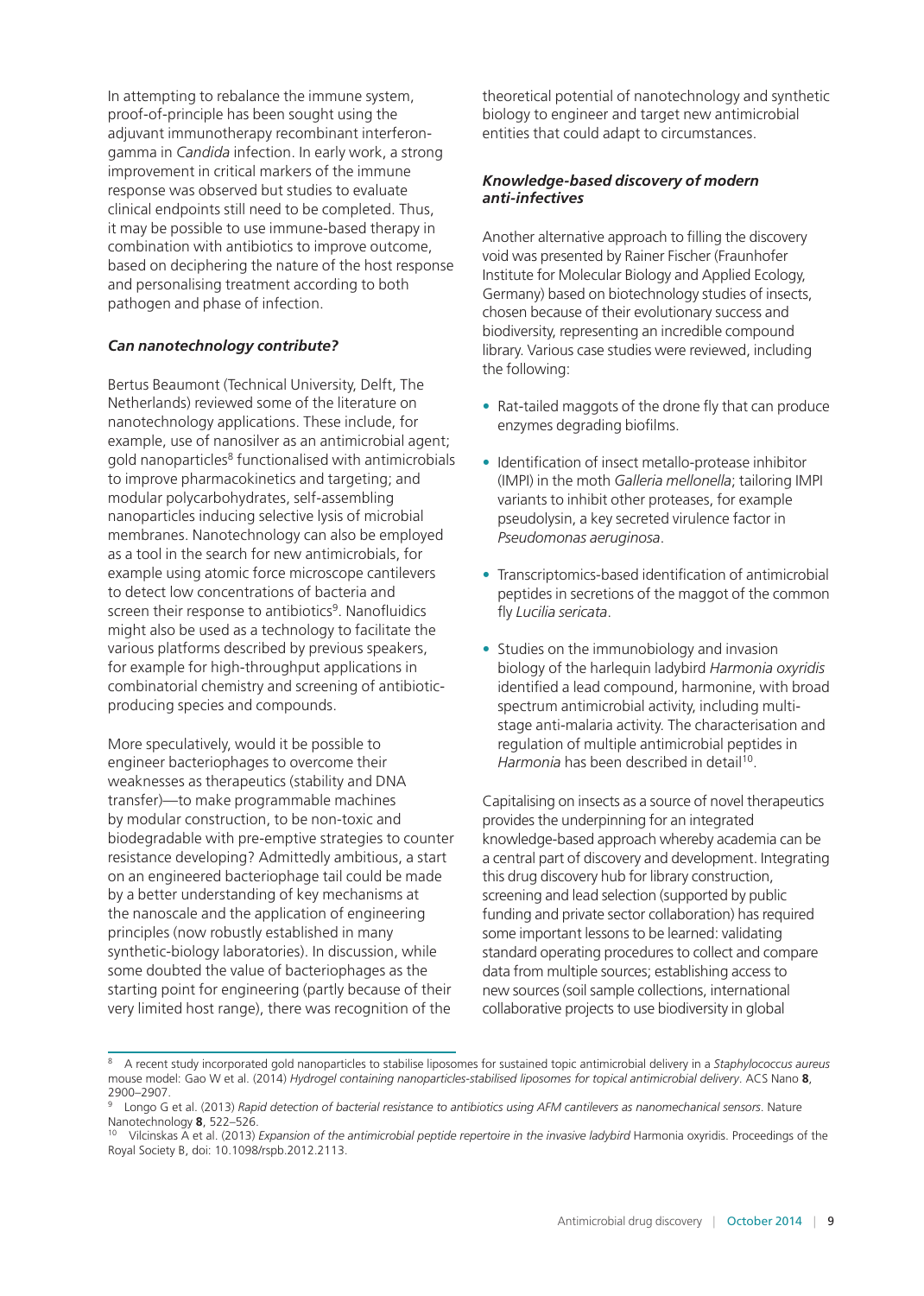In attempting to rebalance the immune system, proof-of-principle has been sought using the adjuvant immunotherapy recombinant interferongamma in *Candida* infection. In early work, a strong improvement in critical markers of the immune response was observed but studies to evaluate clinical endpoints still need to be completed. Thus, it may be possible to use immune-based therapy in combination with antibiotics to improve outcome, based on deciphering the nature of the host response and personalising treatment according to both pathogen and phase of infection.

#### *Can nanotechnology contribute?*

Bertus Beaumont (Technical University, Delft, The Netherlands) reviewed some of the literature on nanotechnology applications. These include, for example, use of nanosilver as an antimicrobial agent; gold nanoparticles<sup>8</sup> functionalised with antimicrobials to improve pharmacokinetics and targeting; and modular polycarbohydrates, self-assembling nanoparticles inducing selective lysis of microbial membranes. Nanotechnology can also be employed as a tool in the search for new antimicrobials, for example using atomic force microscope cantilevers to detect low concentrations of bacteria and screen their response to antibiotics<sup>9</sup>. Nanofluidics might also be used as a technology to facilitate the various platforms described by previous speakers, for example for high-throughput applications in combinatorial chemistry and screening of antibioticproducing species and compounds.

More speculatively, would it be possible to engineer bacteriophages to overcome their weaknesses as therapeutics (stability and DNA transfer)—to make programmable machines by modular construction, to be non-toxic and biodegradable with pre-emptive strategies to counter resistance developing? Admittedly ambitious, a start on an engineered bacteriophage tail could be made by a better understanding of key mechanisms at the nanoscale and the application of engineering principles (now robustly established in many synthetic-biology laboratories). In discussion, while some doubted the value of bacteriophages as the starting point for engineering (partly because of their very limited host range), there was recognition of the

theoretical potential of nanotechnology and synthetic biology to engineer and target new antimicrobial entities that could adapt to circumstances.

#### *Knowledge-based discovery of modern anti-infectives*

Another alternative approach to filling the discovery void was presented by Rainer Fischer (Fraunhofer Institute for Molecular Biology and Applied Ecology, Germany) based on biotechnology studies of insects, chosen because of their evolutionary success and biodiversity, representing an incredible compound library. Various case studies were reviewed, including the following:

- Rat-tailed maggots of the drone fly that can produce enzymes degrading biofilms.
- Identification of insect metallo-protease inhibitor (IMPI) in the moth *Galleria mellonella*; tailoring IMPI variants to inhibit other proteases, for example pseudolysin, a key secreted virulence factor in *Pseudomonas aeruginosa*.
- Transcriptomics-based identification of antimicrobial peptides in secretions of the maggot of the common fly *Lucilia sericata*.
- Studies on the immunobiology and invasion biology of the harlequin ladybird *Harmonia oxyridis* identified a lead compound, harmonine, with broad spectrum antimicrobial activity, including multistage anti-malaria activity. The characterisation and regulation of multiple antimicrobial peptides in *Harmonia* has been described in detail<sup>10</sup>.

Capitalising on insects as a source of novel therapeutics provides the underpinning for an integrated knowledge-based approach whereby academia can be a central part of discovery and development. Integrating this drug discovery hub for library construction, screening and lead selection (supported by public funding and private sector collaboration) has required some important lessons to be learned: validating standard operating procedures to collect and compare data from multiple sources; establishing access to new sources (soil sample collections, international collaborative projects to use biodiversity in global

<sup>8</sup> A recent study incorporated gold nanoparticles to stabilise liposomes for sustained topic antimicrobial delivery in a *Staphylococcus aureus*  mouse model: Gao W et al. (2014) *Hydrogel containing nanoparticles-stabilised liposomes for topical antimicrobial delivery*. ACS Nano **8**, 2900–2907.

<sup>9</sup> Longo G et al. (2013) *Rapid detection of bacterial resistance to antibiotics using AFM cantilevers as nanomechanical sensors*. Nature Nanotechnology **8**, 522–526.

<sup>&</sup>lt;sup>10</sup> Vilcinskas A et al. (2013) *Expansion of the antimicrobial peptide repertoire in the invasive ladybird Harmonia oxyridis. Proceedings of the* Royal Society B, doi: 10.1098/rspb.2012.2113.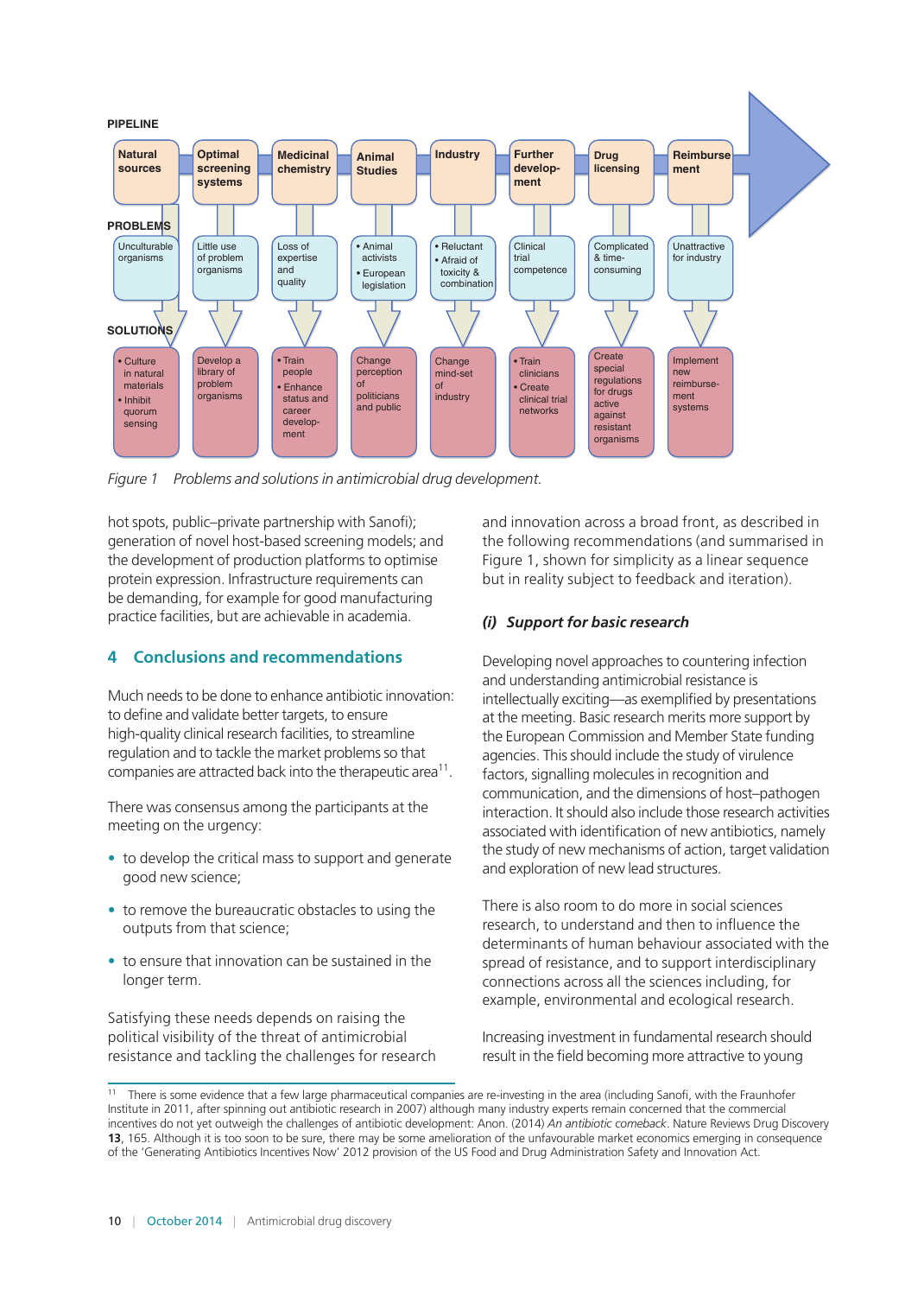

*Figure 1 Problems and solutions in antimicrobial drug development.*

hot spots, public–private partnership with Sanofi); generation of novel host-based screening models; and the development of production platforms to optimise protein expression. Infrastructure requirements can be demanding, for example for good manufacturing practice facilities, but are achievable in academia.

## **4 Conclusions and recommendations**

Much needs to be done to enhance antibiotic innovation: to define and validate better targets, to ensure high-quality clinical research facilities, to streamline regulation and to tackle the market problems so that companies are attracted back into the therapeutic area<sup>11</sup>.

There was consensus among the participants at the meeting on the urgency:

- to develop the critical mass to support and generate good new science;
- to remove the bureaucratic obstacles to using the outputs from that science;
- to ensure that innovation can be sustained in the longer term.

Satisfying these needs depends on raising the political visibility of the threat of antimicrobial resistance and tackling the challenges for research and innovation across a broad front, as described in the following recommendations (and summarised in Figure 1, shown for simplicity as a linear sequence but in reality subject to feedback and iteration).

## *(i) Support for basic research*

Developing novel approaches to countering infection and understanding antimicrobial resistance is intellectually exciting—as exemplified by presentations at the meeting. Basic research merits more support by the European Commission and Member State funding agencies. This should include the study of virulence factors, signalling molecules in recognition and communication, and the dimensions of host–pathogen interaction. It should also include those research activities associated with identification of new antibiotics, namely the study of new mechanisms of action, target validation and exploration of new lead structures.

There is also room to do more in social sciences research, to understand and then to influence the determinants of human behaviour associated with the spread of resistance, and to support interdisciplinary connections across all the sciences including, for example, environmental and ecological research.

Increasing investment in fundamental research should result in the field becoming more attractive to young

<sup>&</sup>lt;sup>11</sup> There is some evidence that a few large pharmaceutical companies are re-investing in the area (including Sanofi, with the Fraunhofer Institute in 2011, after spinning out antibiotic research in 2007) although many industry experts remain concerned that the commercial incentives do not yet outweigh the challenges of antibiotic development: Anon. (2014) *An antibiotic comeback*. Nature Reviews Drug Discovery **13**, 165. Although it is too soon to be sure, there may be some amelioration of the unfavourable market economics emerging in consequence of the 'Generating Antibiotics Incentives Now' 2012 provision of the US Food and Drug Administration Safety and Innovation Act.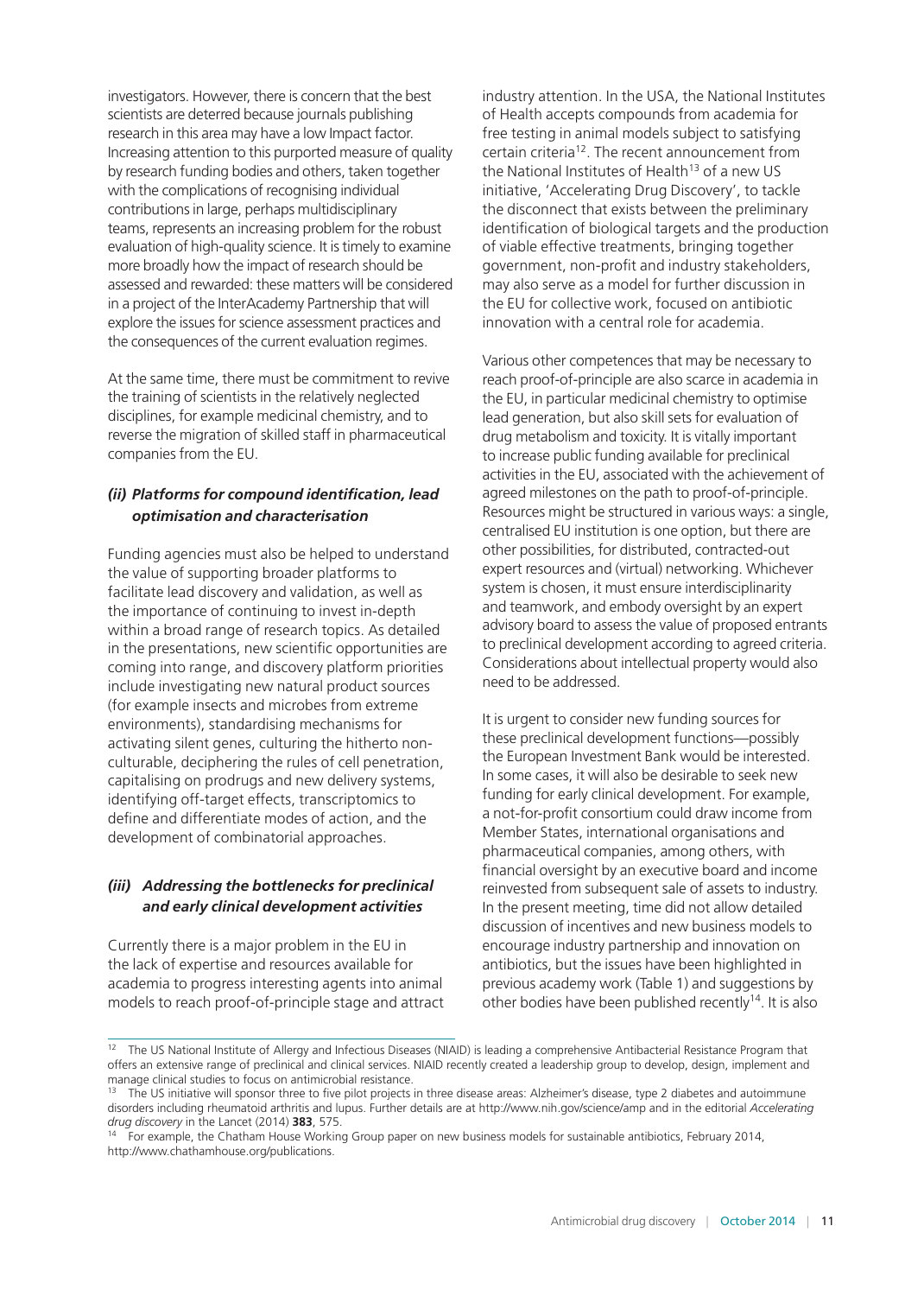investigators. However, there is concern that the best scientists are deterred because journals publishing research in this area may have a low Impact factor. Increasing attention to this purported measure of quality by research funding bodies and others, taken together with the complications of recognising individual contributions in large, perhaps multidisciplinary teams, represents an increasing problem for the robust evaluation of high-quality science. It is timely to examine more broadly how the impact of research should be assessed and rewarded: these matters will be considered in a project of the InterAcademy Partnership that will explore the issues for science assessment practices and the consequences of the current evaluation regimes.

At the same time, there must be commitment to revive the training of scientists in the relatively neglected disciplines, for example medicinal chemistry, and to reverse the migration of skilled staff in pharmaceutical companies from the EU.

#### *(ii) Platforms for compound identification, lead optimisation and characterisation*

Funding agencies must also be helped to understand the value of supporting broader platforms to facilitate lead discovery and validation, as well as the importance of continuing to invest in-depth within a broad range of research topics. As detailed in the presentations, new scientific opportunities are coming into range, and discovery platform priorities include investigating new natural product sources (for example insects and microbes from extreme environments), standardising mechanisms for activating silent genes, culturing the hitherto nonculturable, deciphering the rules of cell penetration, capitalising on prodrugs and new delivery systems, identifying off-target effects, transcriptomics to define and differentiate modes of action, and the development of combinatorial approaches.

## *(iii) Addressing the bottlenecks for preclinical and early clinical development activities*

Currently there is a major problem in the EU in the lack of expertise and resources available for academia to progress interesting agents into animal models to reach proof-of-principle stage and attract

industry attention. In the USA, the National Institutes of Health accepts compounds from academia for free testing in animal models subject to satisfying certain criteria12. The recent announcement from the National Institutes of Health<sup>13</sup> of a new US initiative, 'Accelerating Drug Discovery', to tackle the disconnect that exists between the preliminary identification of biological targets and the production of viable effective treatments, bringing together government, non-profit and industry stakeholders, may also serve as a model for further discussion in the EU for collective work, focused on antibiotic innovation with a central role for academia.

Various other competences that may be necessary to reach proof-of-principle are also scarce in academia in the EU, in particular medicinal chemistry to optimise lead generation, but also skill sets for evaluation of drug metabolism and toxicity. It is vitally important to increase public funding available for preclinical activities in the EU, associated with the achievement of agreed milestones on the path to proof-of-principle. Resources might be structured in various ways: a single, centralised EU institution is one option, but there are other possibilities, for distributed, contracted-out expert resources and (virtual) networking. Whichever system is chosen, it must ensure interdisciplinarity and teamwork, and embody oversight by an expert advisory board to assess the value of proposed entrants to preclinical development according to agreed criteria. Considerations about intellectual property would also need to be addressed.

It is urgent to consider new funding sources for these preclinical development functions—possibly the European Investment Bank would be interested. In some cases, it will also be desirable to seek new funding for early clinical development. For example, a not-for-profit consortium could draw income from Member States, international organisations and pharmaceutical companies, among others, with financial oversight by an executive board and income reinvested from subsequent sale of assets to industry. In the present meeting, time did not allow detailed discussion of incentives and new business models to encourage industry partnership and innovation on antibiotics, but the issues have been highlighted in previous academy work (Table 1) and suggestions by other bodies have been published recently<sup>14</sup>. It is also

<sup>&</sup>lt;sup>12</sup> The US National Institute of Allergy and Infectious Diseases (NIAID) is leading a comprehensive Antibacterial Resistance Program that offers an extensive range of preclinical and clinical services. NIAID recently created a leadership group to develop, design, implement and manage clinical studies to focus on antimicrobial resistance.

<sup>&</sup>lt;sup>13</sup> The US initiative will sponsor three to five pilot projects in three disease areas: Alzheimer's disease, type 2 diabetes and autoimmune disorders including rheumatoid arthritis and lupus. Further details are at<http://www.nih.gov/science/amp>and in the editorial *Accelerating drug discovery* in the Lancet (2014) **383**, 575.

<sup>&</sup>lt;sup>14</sup> For example, the Chatham House Working Group paper on new business models for sustainable antibiotics, February 2014, [http://www.chathamhouse.org/publications.](http://www.chathamhouse.org/publications)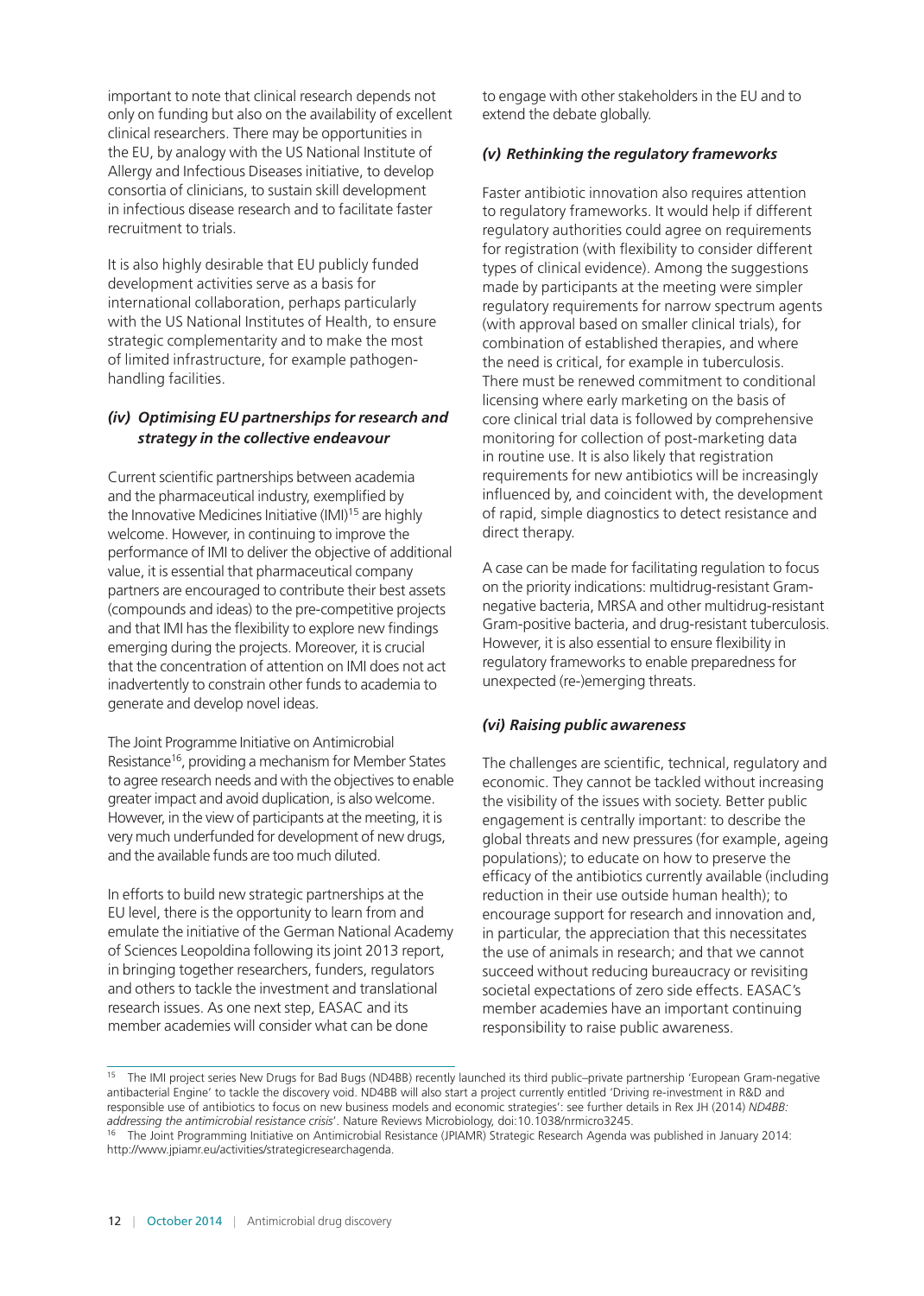important to note that clinical research depends not only on funding but also on the availability of excellent clinical researchers. There may be opportunities in the EU, by analogy with the US National Institute of Allergy and Infectious Diseases initiative, to develop consortia of clinicians, to sustain skill development in infectious disease research and to facilitate faster recruitment to trials.

It is also highly desirable that EU publicly funded development activities serve as a basis for international collaboration, perhaps particularly with the US National Institutes of Health, to ensure strategic complementarity and to make the most of limited infrastructure, for example pathogenhandling facilities.

#### *(iv) Optimising EU partnerships for research and strategy in the collective endeavour*

Current scientific partnerships between academia and the pharmaceutical industry, exemplified by the Innovative Medicines Initiative (IMI)<sup>15</sup> are highly welcome. However, in continuing to improve the performance of IMI to deliver the objective of additional value, it is essential that pharmaceutical company partners are encouraged to contribute their best assets (compounds and ideas) to the pre-competitive projects and that IMI has the flexibility to explore new findings emerging during the projects. Moreover, it is crucial that the concentration of attention on IMI does not act inadvertently to constrain other funds to academia to generate and develop novel ideas.

The Joint Programme Initiative on Antimicrobial Resistance<sup>16</sup>, providing a mechanism for Member States to agree research needs and with the objectives to enable greater impact and avoid duplication, is also welcome. However, in the view of participants at the meeting, it is very much underfunded for development of new drugs, and the available funds are too much diluted.

In efforts to build new strategic partnerships at the EU level, there is the opportunity to learn from and emulate the initiative of the German National Academy of Sciences Leopoldina following its joint 2013 report, in bringing together researchers, funders, regulators and others to tackle the investment and translational research issues. As one next step, EASAC and its member academies will consider what can be done

to engage with other stakeholders in the EU and to extend the debate globally.

#### *(v) Rethinking the regulatory frameworks*

Faster antibiotic innovation also requires attention to regulatory frameworks. It would help if different regulatory authorities could agree on requirements for registration (with flexibility to consider different types of clinical evidence). Among the suggestions made by participants at the meeting were simpler regulatory requirements for narrow spectrum agents (with approval based on smaller clinical trials), for combination of established therapies, and where the need is critical, for example in tuberculosis. There must be renewed commitment to conditional licensing where early marketing on the basis of core clinical trial data is followed by comprehensive monitoring for collection of post-marketing data in routine use. It is also likely that registration requirements for new antibiotics will be increasingly influenced by, and coincident with, the development of rapid, simple diagnostics to detect resistance and direct therapy.

A case can be made for facilitating regulation to focus on the priority indications: multidrug-resistant Gramnegative bacteria, MRSA and other multidrug-resistant Gram-positive bacteria, and drug-resistant tuberculosis. However, it is also essential to ensure flexibility in regulatory frameworks to enable preparedness for unexpected (re-)emerging threats.

## *(vi) Raising public awareness*

The challenges are scientific, technical, regulatory and economic. They cannot be tackled without increasing the visibility of the issues with society. Better public engagement is centrally important: to describe the global threats and new pressures (for example, ageing populations); to educate on how to preserve the efficacy of the antibiotics currently available (including reduction in their use outside human health); to encourage support for research and innovation and, in particular, the appreciation that this necessitates the use of animals in research; and that we cannot succeed without reducing bureaucracy or revisiting societal expectations of zero side effects. EASAC's member academies have an important continuing responsibility to raise public awareness.

<sup>&</sup>lt;sup>15</sup> The IMI project series New Drugs for Bad Bugs (ND4BB) recently launched its third public–private partnership 'European Gram-negative antibacterial Engine' to tackle the discovery void. ND4BB will also start a project currently entitled 'Driving re-investment in R&D and responsible use of antibiotics to focus on new business models and economic strategies': see further details in Rex JH (2014) *ND4BB: addressing the antimicrobial resistance crisis*'. Nature Reviews Microbiology, doi:10.1038/nrmicro3245.

<sup>&</sup>lt;sup>16</sup> The Joint Programming Initiative on Antimicrobial Resistance (JPIAMR) Strategic Research Agenda was published in January 2014: <http://www.jpiamr.eu/activities/strategicresearchagenda>.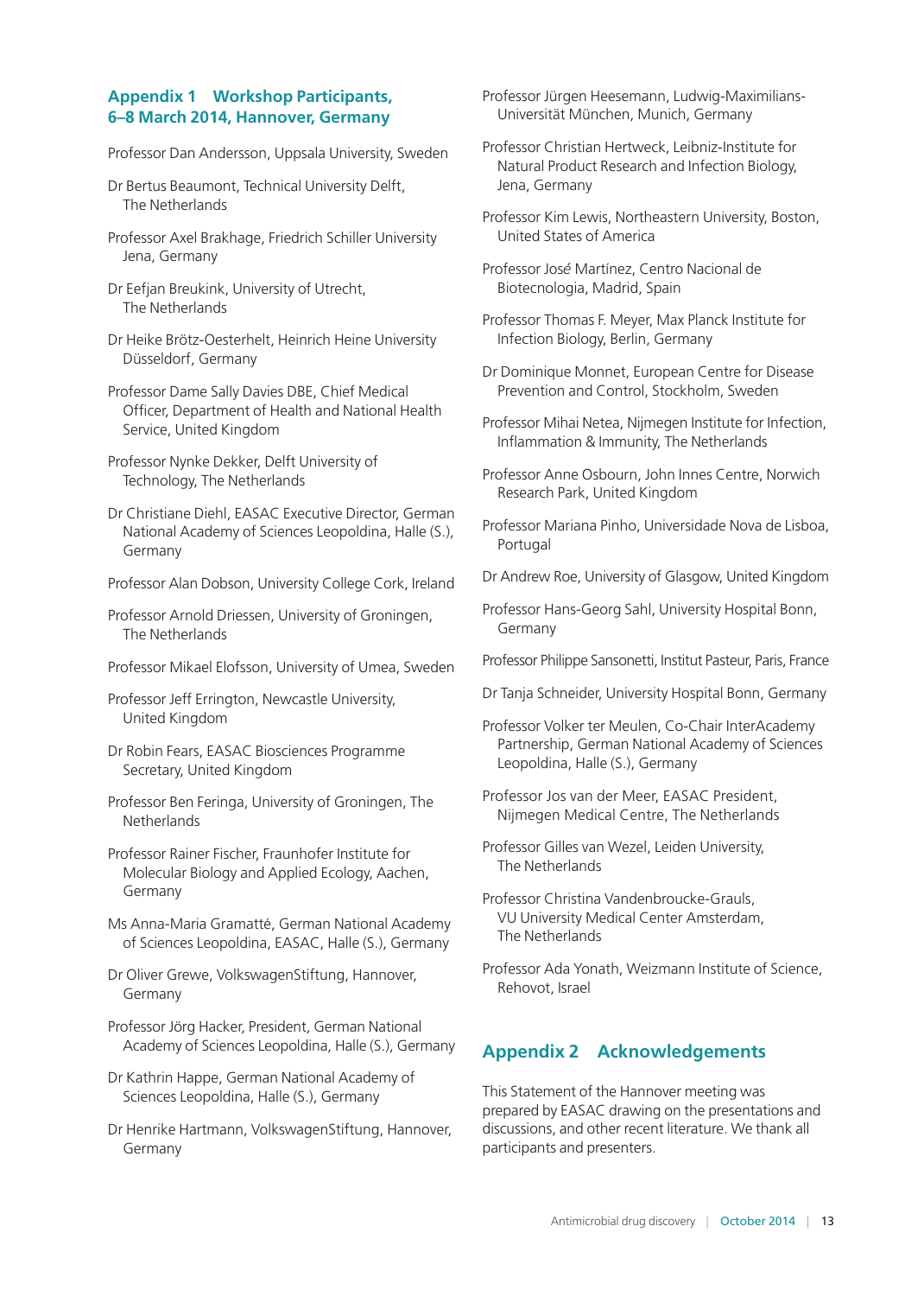## **Appendix 1 Workshop Participants, 6–8 March 2014, Hannover, Germany**

Professor Dan Andersson, Uppsala University, Sweden

- Dr Bertus Beaumont, Technical University Delft, The Netherlands
- Professor Axel Brakhage, Friedrich Schiller University Jena, Germany
- Dr Eefjan Breukink, University of Utrecht, The Netherlands
- Dr Heike Brötz-Oesterhelt, Heinrich Heine University Düsseldorf, Germany
- Professor Dame Sally Davies DBE, Chief Medical Officer, Department of Health and National Health Service, United Kingdom
- Professor Nynke Dekker, Delft University of Technology, The Netherlands
- Dr Christiane Diehl, EASAC Executive Director, German National Academy of Sciences Leopoldina, Halle (S.), Germany
- Professor Alan Dobson, University College Cork, Ireland
- Professor Arnold Driessen, University of Groningen, The Netherlands
- Professor Mikael Elofsson, University of Umea, Sweden
- Professor Jeff Errington, Newcastle University, United Kingdom
- Dr Robin Fears, EASAC Biosciences Programme Secretary, United Kingdom
- Professor Ben Feringa, University of Groningen, The **Netherlands**
- Professor Rainer Fischer, Fraunhofer Institute for Molecular Biology and Applied Ecology, Aachen, Germany
- Ms Anna-Maria Gramatté, German National Academy of Sciences Leopoldina, EASAC, Halle (S.), Germany
- Dr Oliver Grewe, VolkswagenStiftung, Hannover, Germany
- Professor Jörg Hacker, President, German National Academy of Sciences Leopoldina, Halle (S.), Germany
- Dr Kathrin Happe, German National Academy of Sciences Leopoldina, Halle (S.), Germany
- Dr Henrike Hartmann, VolkswagenStiftung, Hannover, Germany

Professor Jürgen Heesemann, Ludwig-Maximilians-Universität München, Munich, Germany

- Professor Christian Hertweck, Leibniz-Institute for Natural Product Research and Infection Biology, Jena, Germany
- Professor Kim Lewis, Northeastern University, Boston, United States of America
- Professor Jos*é* Martínez, Centro Nacional de Biotecnologia, Madrid, Spain
- Professor Thomas F. Meyer, Max Planck Institute for Infection Biology, Berlin, Germany
- Dr Dominique Monnet, European Centre for Disease Prevention and Control, Stockholm, Sweden
- Professor Mihai Netea, Nijmegen Institute for Infection, Inflammation & Immunity, The Netherlands
- Professor Anne Osbourn, John Innes Centre, Norwich Research Park, United Kingdom
- Professor Mariana Pinho, Universidade Nova de Lisboa, Portugal
- Dr Andrew Roe, University of Glasgow, United Kingdom
- Professor Hans-Georg Sahl, University Hospital Bonn, Germany
- Professor Philippe Sansonetti, Institut Pasteur, Paris, France
- Dr Tanja Schneider, University Hospital Bonn, Germany
- Professor Volker ter Meulen, Co-Chair InterAcademy Partnership, German National Academy of Sciences Leopoldina, Halle (S.), Germany
- Professor Jos van der Meer, EASAC President, Nijmegen Medical Centre, The Netherlands
- Professor Gilles van Wezel, Leiden University, The Netherlands
- Professor Christina Vandenbroucke-Grauls, VU University Medical Center Amsterdam, The Netherlands
- Professor Ada Yonath, Weizmann Institute of Science, Rehovot, Israel

## **Appendix 2 Acknowledgements**

This Statement of the Hannover meeting was prepared by EASAC drawing on the presentations and discussions, and other recent literature. We thank all participants and presenters.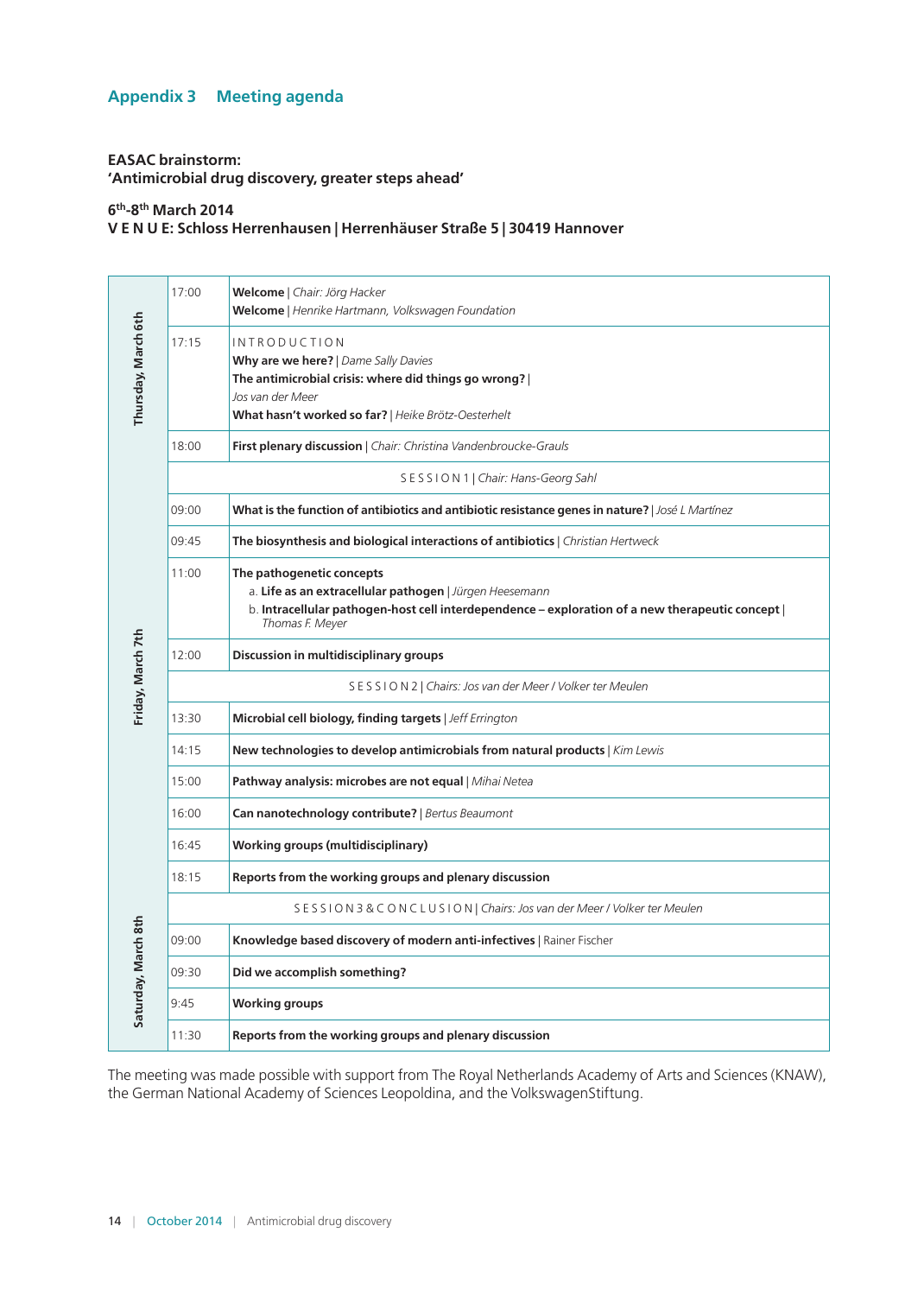## **Appendix 3 Meeting agenda**

#### **EASAC brainstorm: 'Antimicrobial drug discovery, greater steps ahead'**

**6th-8th March 2014**

**V E N U E: Schloss Herrenhausen | Herrenhäuser Straße 5 | 30419 Hannover**

| Thursday, March 6th | 17:00                                                   | Welcome   Chair: Jörg Hacker<br>Welcome   Henrike Hartmann, Volkswagen Foundation                                                                                                                           |  |  |
|---------------------|---------------------------------------------------------|-------------------------------------------------------------------------------------------------------------------------------------------------------------------------------------------------------------|--|--|
|                     | 17:15                                                   | <b>INTRODUCTION</b><br>Why are we here?   Dame Sally Davies<br>The antimicrobial crisis: where did things go wrong?  <br>Jos van der Meer<br>What hasn't worked so far?   Heike Brötz-Oesterhelt            |  |  |
|                     | 18:00                                                   | First plenary discussion   Chair: Christina Vandenbroucke-Grauls                                                                                                                                            |  |  |
|                     | SESSION 1   Chair: Hans-Georg Sahl                      |                                                                                                                                                                                                             |  |  |
|                     | 09:00                                                   | What is the function of antibiotics and antibiotic resistance genes in nature?   José L Martínez                                                                                                            |  |  |
|                     | 09:45                                                   | The biosynthesis and biological interactions of antibiotics   Christian Hertweck                                                                                                                            |  |  |
|                     | 11:00                                                   | The pathogenetic concepts<br>a. Life as an extracellular pathogen   Jürgen Heesemann<br>b. Intracellular pathogen-host cell interdependence - exploration of a new therapeutic concept  <br>Thomas F. Meyer |  |  |
|                     | 12:00                                                   | Discussion in multidisciplinary groups                                                                                                                                                                      |  |  |
| Friday, March 7th   | SESSION2   Chairs: Jos van der Meer / Volker ter Meulen |                                                                                                                                                                                                             |  |  |
|                     | 13:30                                                   | Microbial cell biology, finding targets   Jeff Errington                                                                                                                                                    |  |  |
|                     | 14:15                                                   | New technologies to develop antimicrobials from natural products   Kim Lewis                                                                                                                                |  |  |
|                     | 15:00                                                   | Pathway analysis: microbes are not equal   Mihai Netea                                                                                                                                                      |  |  |
|                     | 16:00                                                   | Can nanotechnology contribute?   Bertus Beaumont                                                                                                                                                            |  |  |
|                     | 16:45                                                   | <b>Working groups (multidisciplinary)</b>                                                                                                                                                                   |  |  |
|                     | 18:15                                                   | Reports from the working groups and plenary discussion                                                                                                                                                      |  |  |
|                     |                                                         | SESSION 3 & CONCLUSION   Chairs: Jos van der Meer / Volker ter Meulen                                                                                                                                       |  |  |
|                     | 09:00                                                   | Knowledge based discovery of modern anti-infectives   Rainer Fischer                                                                                                                                        |  |  |
|                     | 09:30                                                   | Did we accomplish something?                                                                                                                                                                                |  |  |
| Saturday, March 8th | 9:45                                                    | <b>Working groups</b>                                                                                                                                                                                       |  |  |
|                     | 11:30                                                   | Reports from the working groups and plenary discussion                                                                                                                                                      |  |  |

The meeting was made possible with support from The Royal Netherlands Academy of Arts and Sciences (KNAW), the German National Academy of Sciences Leopoldina, and the VolkswagenStiftung.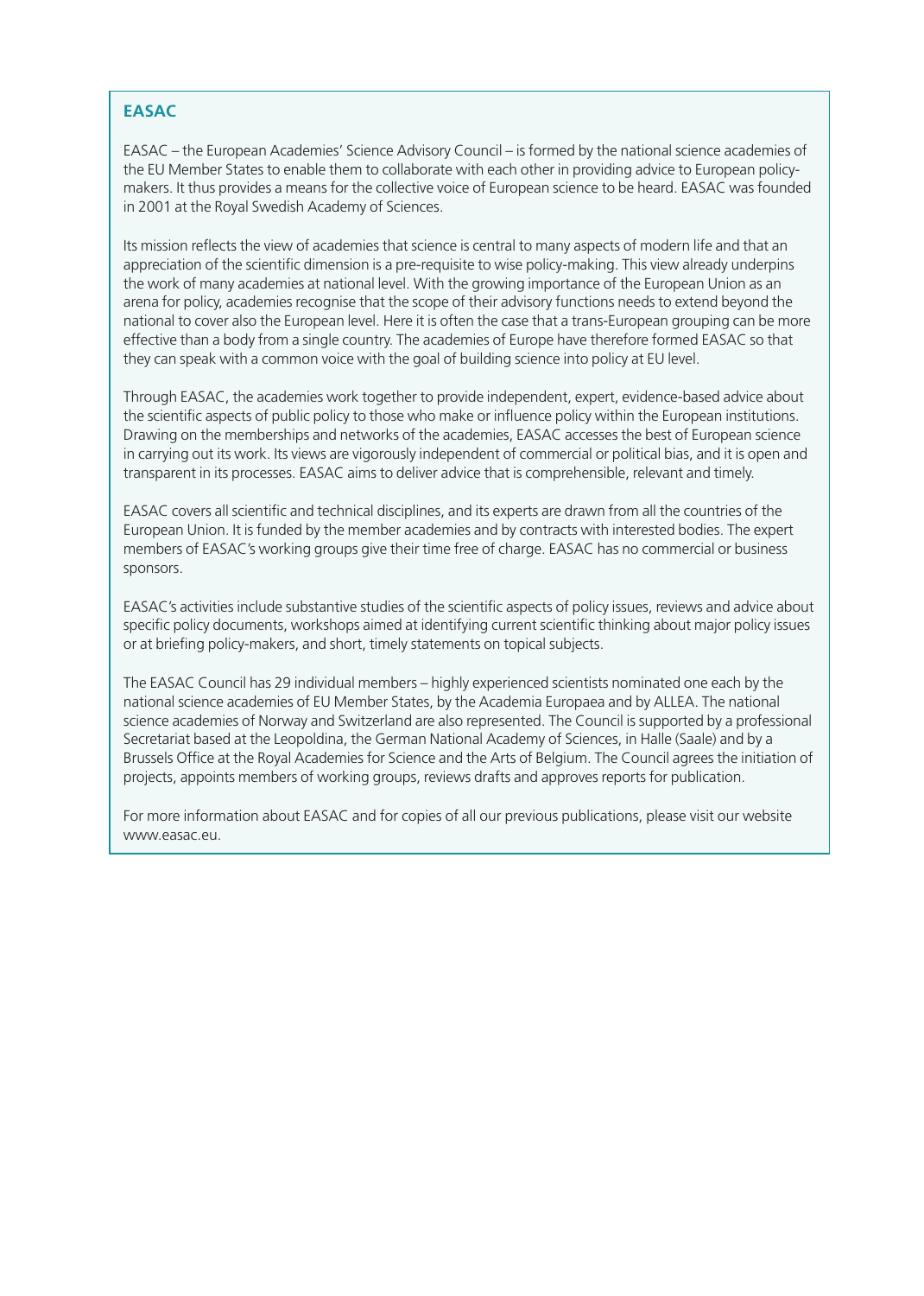## **EASAC**

EASAC – the European Academies' Science Advisory Council – is formed by the national science academies of the EU Member States to enable them to collaborate with each other in providing advice to European policymakers. It thus provides a means for the collective voice of European science to be heard. EASAC was founded in 2001 at the Royal Swedish Academy of Sciences.

Its mission reflects the view of academies that science is central to many aspects of modern life and that an appreciation of the scientific dimension is a pre-requisite to wise policy-making. This view already underpins the work of many academies at national level. With the growing importance of the European Union as an arena for policy, academies recognise that the scope of their advisory functions needs to extend beyond the national to cover also the European level. Here it is often the case that a trans-European grouping can be more effective than a body from a single country. The academies of Europe have therefore formed EASAC so that they can speak with a common voice with the goal of building science into policy at EU level.

Through EASAC, the academies work together to provide independent, expert, evidence-based advice about the scientific aspects of public policy to those who make or influence policy within the European institutions. Drawing on the memberships and networks of the academies, EASAC accesses the best of European science in carrying out its work. Its views are vigorously independent of commercial or political bias, and it is open and transparent in its processes. EASAC aims to deliver advice that is comprehensible, relevant and timely.

EASAC covers all scientific and technical disciplines, and its experts are drawn from all the countries of the European Union. It is funded by the member academies and by contracts with interested bodies. The expert members of EASAC's working groups give their time free of charge. EASAC has no commercial or business sponsors.

EASAC's activities include substantive studies of the scientific aspects of policy issues, reviews and advice about specific policy documents, workshops aimed at identifying current scientific thinking about major policy issues or at briefing policy-makers, and short, timely statements on topical subjects.

The EASAC Council has 29 individual members – highly experienced scientists nominated one each by the national science academies of EU Member States, by the Academia Europaea and by ALLEA. The national science academies of Norway and Switzerland are also represented. The Council is supported by a professional Secretariat based at the Leopoldina, the German National Academy of Sciences, in Halle (Saale) and by a Brussels Office at the Royal Academies for Science and the Arts of Belgium. The Council agrees the initiation of projects, appoints members of working groups, reviews drafts and approves reports for publication.

For more information about EASAC and for copies of all our previous publications, please visit our website [www.easac.eu](http://www.easac.eu).